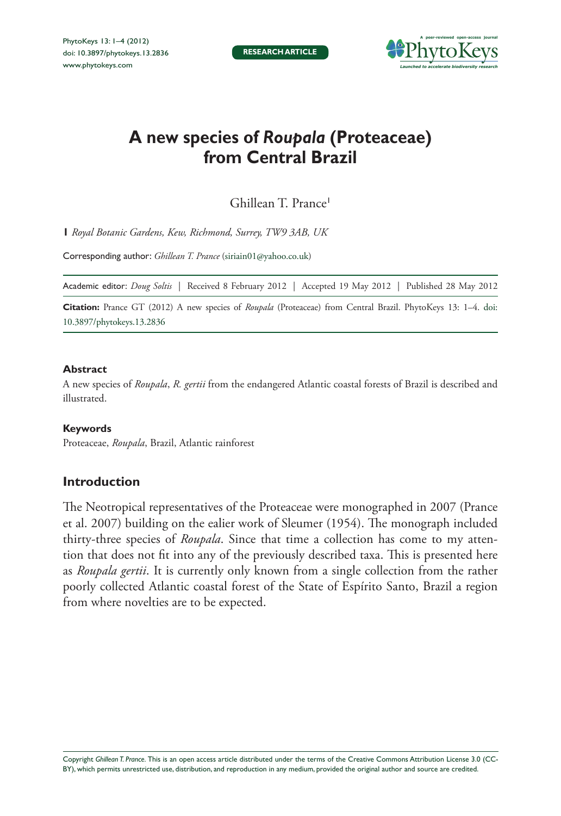

# **A new species of** *Roupala* **(Proteaceae) from Central Brazil**

Ghillean T. Prance<sup>1</sup>

**1** *Royal Botanic Gardens, Kew, Richmond, Surrey, TW9 3AB, UK*

Corresponding author: *Ghillean T. Prance* ([siriain01@yahoo.co.uk](mailto:siriain01@yahoo.co.uk))

Academic editor: *Doug Soltis* | Received 8 February 2012 | Accepted 19 May 2012 | Published 28 May 2012

**Citation:** Prance GT (2012) A new species of *Roupala* (Proteaceae) from Central Brazil. PhytoKeys 13: 1–4. doi: <10.3897/phytokeys.13.2836>

#### **Abstract**

A new species of *Roupala*, *R. gertii* from the endangered Atlantic coastal forests of Brazil is described and illustrated.

#### **Keywords**

Proteaceae, *Roupala*, Brazil, Atlantic rainforest

## **Introduction**

The Neotropical representatives of the Proteaceae were monographed in 2007 (Prance et al. 2007) building on the ealier work of Sleumer (1954). The monograph included thirty-three species of *Roupala*. Since that time a collection has come to my attention that does not fit into any of the previously described taxa. This is presented here as *Roupala gertii*. It is currently only known from a single collection from the rather poorly collected Atlantic coastal forest of the State of Espírito Santo, Brazil a region from where novelties are to be expected.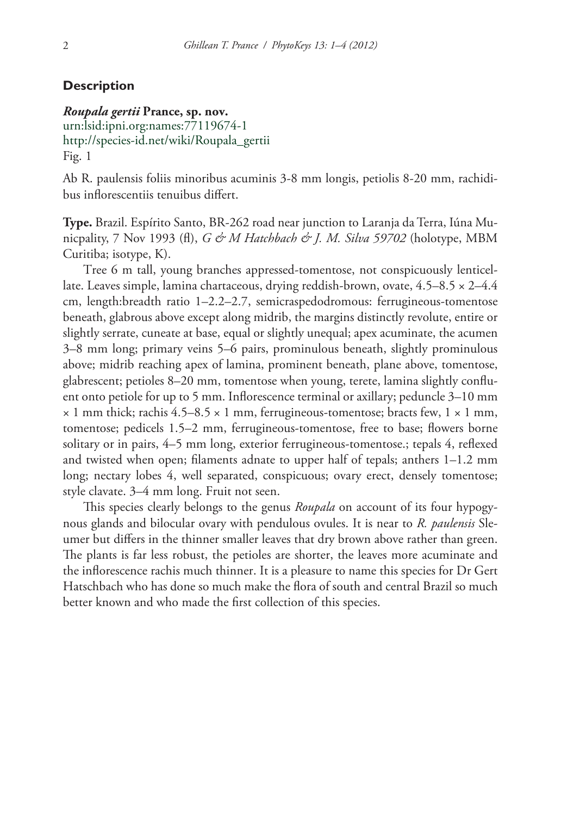#### **Description**

### *Roupala gertii* **Prance, sp. nov.**

[urn:lsid:ipni.org:names:77119674-1](http://ipni.org/urn:lsid:ipni.org:names:77119674-1) [http://species-id.net/wiki/Roupala\\_gertii](http://species-id.net/wiki/Roupala_gertii) Fig. 1

Ab R. paulensis foliis minoribus acuminis 3-8 mm longis, petiolis 8-20 mm, rachidibus inflorescentiis tenuibus differt.

**Type.** Brazil. Espírito Santo, BR-262 road near junction to Laranja da Terra, Iúna Municpality, 7 Nov 1993 (fl), *G & M Hatchbach & J. M. Silva 59702* (holotype, MBM Curitiba; isotype, K).

Tree 6 m tall, young branches appressed-tomentose, not conspicuously lenticellate. Leaves simple, lamina chartaceous, drying reddish-brown, ovate, 4.5–8.5 × 2–4.4 cm, length:breadth ratio 1–2.2–2.7, semicraspedodromous: ferrugineous-tomentose beneath, glabrous above except along midrib, the margins distinctly revolute, entire or slightly serrate, cuneate at base, equal or slightly unequal; apex acuminate, the acumen 3–8 mm long; primary veins 5–6 pairs, prominulous beneath, slightly prominulous above; midrib reaching apex of lamina, prominent beneath, plane above, tomentose, glabrescent; petioles 8–20 mm, tomentose when young, terete, lamina slightly confluent onto petiole for up to 5 mm. Inflorescence terminal or axillary; peduncle 3–10 mm  $\times$  1 mm thick; rachis 4.5–8.5  $\times$  1 mm, ferrugineous-tomentose; bracts few, 1  $\times$  1 mm, tomentose; pedicels 1.5–2 mm, ferrugineous-tomentose, free to base; flowers borne solitary or in pairs, 4–5 mm long, exterior ferrugineous-tomentose.; tepals 4, reflexed and twisted when open; filaments adnate to upper half of tepals; anthers 1–1.2 mm long; nectary lobes 4, well separated, conspicuous; ovary erect, densely tomentose; style clavate. 3–4 mm long. Fruit not seen.

This species clearly belongs to the genus *Roupala* on account of its four hypogynous glands and bilocular ovary with pendulous ovules. It is near to *R. paulensis* Sleumer but differs in the thinner smaller leaves that dry brown above rather than green. The plants is far less robust, the petioles are shorter, the leaves more acuminate and the inflorescence rachis much thinner. It is a pleasure to name this species for Dr Gert Hatschbach who has done so much make the flora of south and central Brazil so much better known and who made the first collection of this species.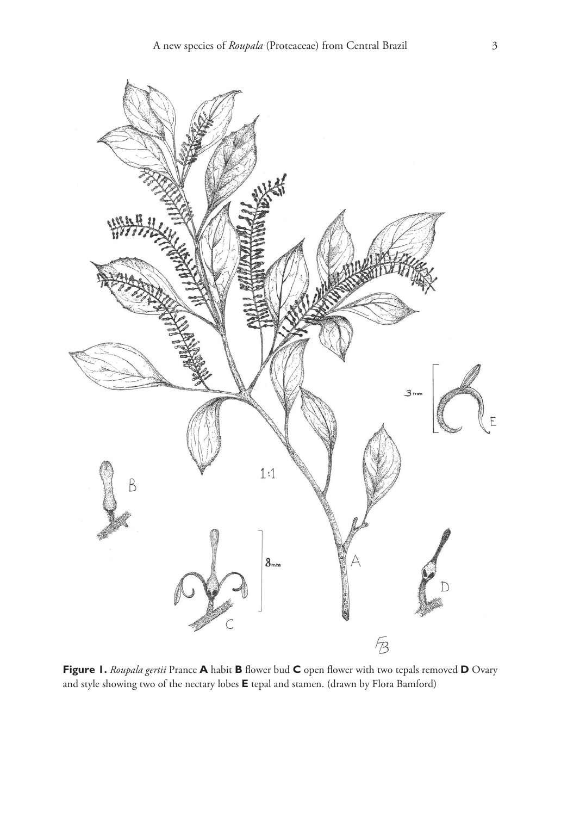

**Figure 1.** *Roupala gertii* Prance **A** habit **B** flower bud **C** open flower with two tepals removed **D** Ovary and style showing two of the nectary lobes **E** tepal and stamen. (drawn by Flora Bamford)